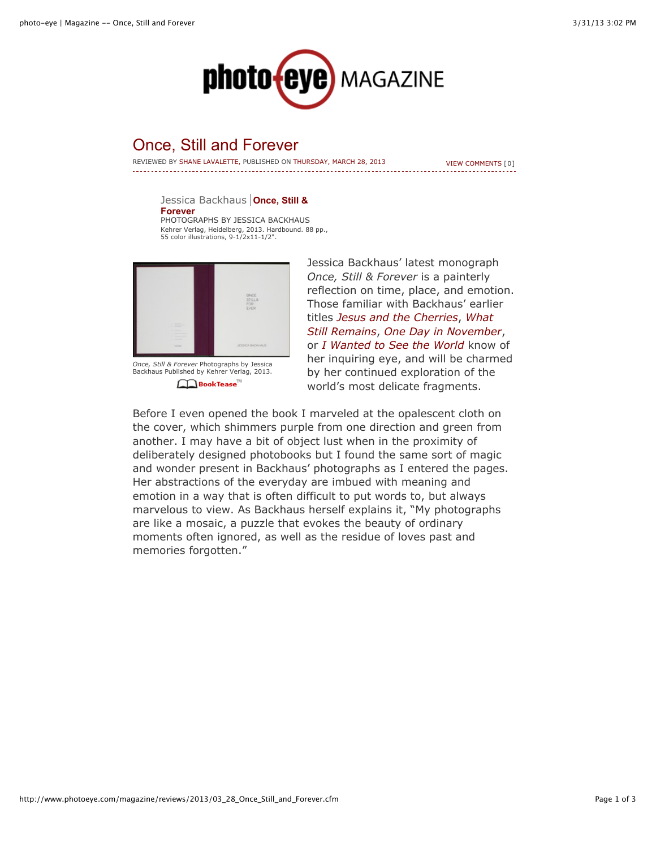

## Once, Still and Forever

REVIEWED BY SHANE LAVALETTE, PUBLISHED ON THURSDAY, MARCH 28, 2013

[VIEW COMMENTS \[0\]](http://www.photoeye.com/magazine/reviews/2013/03_28_Once_Still_and_Forever.cfm#comments)

[Jessica Backhaus](http://www.photoeye.com/bookstore/citation.cfm?Catalog=KH058) **Once, Still & Forever** PHOTOGRAPHS BY JESSICA BACKHAUS Kehrer Verlag, Heidelberg, 2013. Hardbound. 88 pp., 55 color illustrations, 9-1/2x11-1/2".



*[Once, Still & Forever](http://www.photoeye.com/bookstore/citation.cfm?Catalog=KH058)* Photographs by Jessica Backhaus Published by Kehrer Verlag, 2013. **A**BookTease

Jessica Backhaus' latest monograph *[Once, Still & Forever](http://www.photoeye.com/bookstore/citation.cfm?catalog=KH058)* is a painterly reflection on time, place, and emotion. Those familiar with Backhaus' earlier titles *[Jesus and the Cherries](http://www.photoeye.com/bookstore/citation.cfm?catalog=ZC635)*, *What Still Remains*, *[One Day in November](http://www.photoeye.com/bookstore/citation.cfm?catalog=ZD578)*, or *[I Wanted to See the World](http://www.photoeye.com/bookstore/citation.cfm?catalog=KH008)* know of her inquiring eye, and will be charmed by her continued exploration of the world's most delicate fragments.

Before I even opened the book I marveled at the opalescent cloth on the cover, which shimmers purple from one direction and green from another. I may have a bit of object lust when in the proximity of deliberately designed photobooks but I found the same sort of magic and wonder present in Backhaus' photographs as I entered the pages. Her abstractions of the everyday are imbued with meaning and emotion in a way that is often difficult to put words to, but always marvelous to view. As Backhaus herself explains it, "My photographs are like a mosaic, a puzzle that evokes the beauty of ordinary moments often ignored, as well as the residue of loves past and memories forgotten."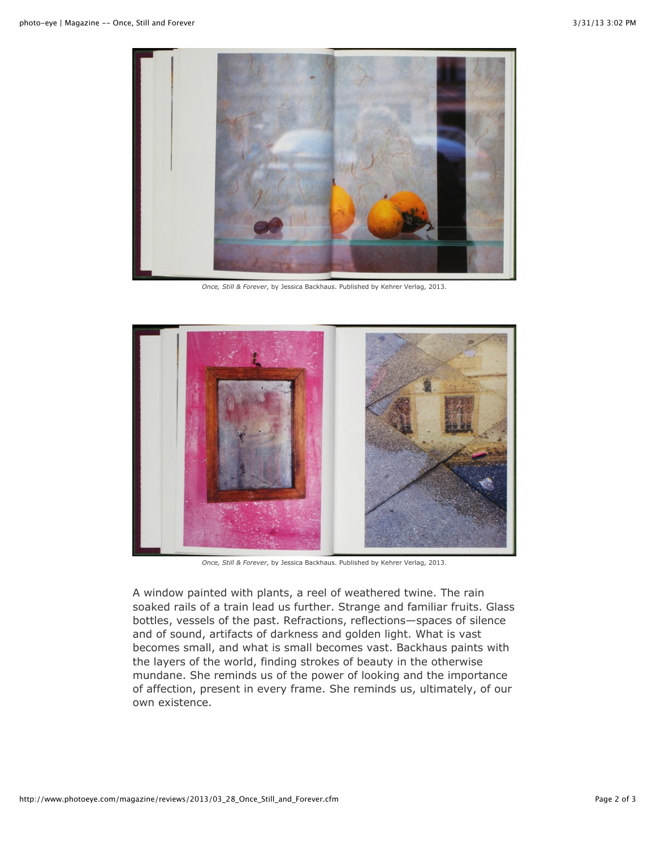

*[Once, Still & Forever](http://www.photoeye.com/bookstore/citation.cfm?catalog=KH058)*, by Jessica Backhaus. Published by Kehrer Verlag, 2013.



*[Once, Still & Forever](http://www.photoeye.com/bookstore/citation.cfm?catalog=KH058)*, by Jessica Backhaus. Published by Kehrer Verlag, 2013.

A window painted with plants, a reel of weathered twine. The rain soaked rails of a train lead us further. Strange and familiar fruits. Glass bottles, vessels of the past. Refractions, reflections—spaces of silence and of sound, artifacts of darkness and golden light. What is vast becomes small, and what is small becomes vast. Backhaus paints with the layers of the world, finding strokes of beauty in the otherwise mundane. She reminds us of the power of looking and the importance of affection, present in every frame. She reminds us, ultimately, of our own existence.